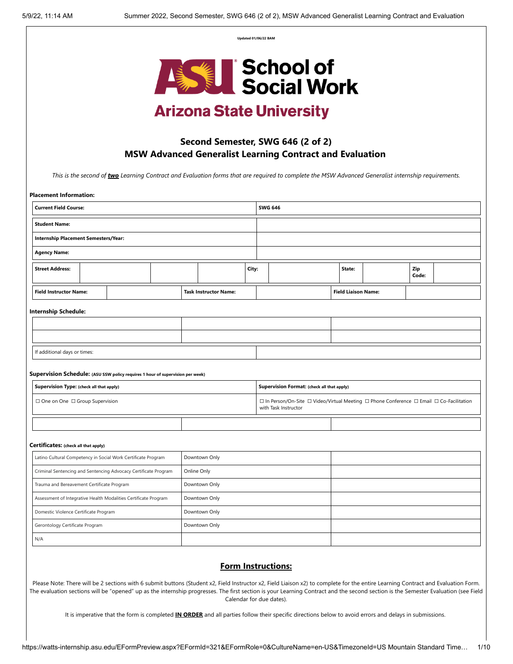**Updated 01/06/22 BAM**



# **Arizona State University**

### **Second Semester, SWG 646 (2 of 2) MSW Advanced Generalist Learning Contract and Evaluation**

*This is the second of two Learning Contract and Evaluation forms that are required to complete the MSW Advanced Generalist internship requirements.*

| <b>Placement Information:</b>                                                  |                                            |             |                              |       |                |                                                                                                                  |  |                            |              |  |
|--------------------------------------------------------------------------------|--------------------------------------------|-------------|------------------------------|-------|----------------|------------------------------------------------------------------------------------------------------------------|--|----------------------------|--------------|--|
| <b>Current Field Course:</b>                                                   |                                            |             |                              |       | <b>SWG 646</b> |                                                                                                                  |  |                            |              |  |
| <b>Student Name:</b>                                                           |                                            |             |                              |       |                |                                                                                                                  |  |                            |              |  |
| Internship Placement Semesters/Year:                                           |                                            |             |                              |       |                |                                                                                                                  |  |                            |              |  |
| <b>Agency Name:</b>                                                            |                                            |             |                              |       |                |                                                                                                                  |  |                            |              |  |
| <b>Street Address:</b>                                                         |                                            |             |                              | City: |                |                                                                                                                  |  | State:                     | Zip<br>Code: |  |
| <b>Field Instructor Name:</b>                                                  |                                            |             | <b>Task Instructor Name:</b> |       |                |                                                                                                                  |  | <b>Field Liaison Name:</b> |              |  |
| <b>Internship Schedule:</b>                                                    |                                            |             |                              |       |                |                                                                                                                  |  |                            |              |  |
|                                                                                |                                            |             |                              |       |                |                                                                                                                  |  |                            |              |  |
|                                                                                |                                            |             |                              |       |                |                                                                                                                  |  |                            |              |  |
| If additional days or times:                                                   |                                            |             |                              |       |                |                                                                                                                  |  |                            |              |  |
| Supervision Schedule: (ASU SSW policy requires 1 hour of supervision per week) |                                            |             |                              |       |                |                                                                                                                  |  |                            |              |  |
| Supervision Type: (check all that apply)                                       | Supervision Format: (check all that apply) |             |                              |       |                |                                                                                                                  |  |                            |              |  |
| □ One on One □ Group Supervision                                               |                                            |             |                              |       |                |                                                                                                                  |  |                            |              |  |
|                                                                                |                                            |             |                              |       |                | □ In Person/On-Site □ Video/Virtual Meeting □ Phone Conference □ Email □ Co-Facilitation<br>with Task Instructor |  |                            |              |  |
|                                                                                |                                            |             |                              |       |                |                                                                                                                  |  |                            |              |  |
| Certificates: (check all that apply)                                           |                                            |             |                              |       |                |                                                                                                                  |  |                            |              |  |
| Latino Cultural Competency in Social Work Certificate Program                  |                                            |             | Downtown Only                |       |                |                                                                                                                  |  |                            |              |  |
| Criminal Sentencing and Sentencing Advocacy Certificate Program                |                                            | Online Only |                              |       |                |                                                                                                                  |  |                            |              |  |
| Trauma and Bereavement Certificate Program                                     |                                            |             | Downtown Only                |       |                |                                                                                                                  |  |                            |              |  |
| Assessment of Integrative Health Modalities Certificate Program                |                                            |             | Downtown Only                |       |                |                                                                                                                  |  |                            |              |  |
| Domestic Violence Certificate Program                                          |                                            |             | Downtown Only                |       |                |                                                                                                                  |  |                            |              |  |
| Gerontology Certificate Program                                                |                                            |             | Downtown Only                |       |                |                                                                                                                  |  |                            |              |  |

### **Form Instructions:**

Please Note: There will be 2 sections with 6 submit buttons (Student x2, Field Instructor x2, Field Liaison x2) to complete for the entire Learning Contract and Evaluation Form. The evaluation sections will be "opened" up as the internship progresses. The first section is your Learning Contract and the second section is the Semester Evaluation (see Field Calendar for due dates).

It is imperative that the form is completed **IN ORDER** and all parties follow their specific directions below to avoid errors and delays in submissions.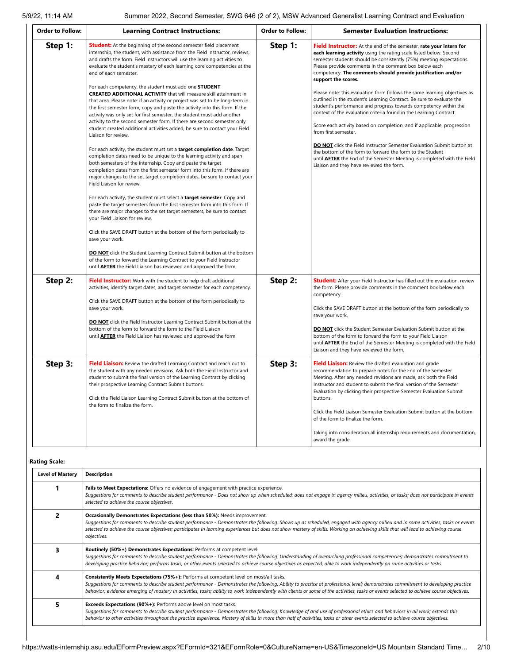| <b>Order to Follow:</b> | <b>Learning Contract Instructions:</b>                                                                                                                                                                                                                                                                                                                                                                                                                                                                                                                                                                                                                                                                                                                                                                                                                                                                                                                                                                                                                                                                                                                                                                                                                                                                                                                                                                                                                                                                                                                                                                                                                                                                                                                                                                                                                                                                                     | <b>Order to Follow:</b> | <b>Semester Evaluation Instructions:</b>                                                                                                                                                                                                                                                                                                                                                                                                                                                                                                                                                                                                                                                                                                                                                                                                                                                                                                                                                                                                              |
|-------------------------|----------------------------------------------------------------------------------------------------------------------------------------------------------------------------------------------------------------------------------------------------------------------------------------------------------------------------------------------------------------------------------------------------------------------------------------------------------------------------------------------------------------------------------------------------------------------------------------------------------------------------------------------------------------------------------------------------------------------------------------------------------------------------------------------------------------------------------------------------------------------------------------------------------------------------------------------------------------------------------------------------------------------------------------------------------------------------------------------------------------------------------------------------------------------------------------------------------------------------------------------------------------------------------------------------------------------------------------------------------------------------------------------------------------------------------------------------------------------------------------------------------------------------------------------------------------------------------------------------------------------------------------------------------------------------------------------------------------------------------------------------------------------------------------------------------------------------------------------------------------------------------------------------------------------------|-------------------------|-------------------------------------------------------------------------------------------------------------------------------------------------------------------------------------------------------------------------------------------------------------------------------------------------------------------------------------------------------------------------------------------------------------------------------------------------------------------------------------------------------------------------------------------------------------------------------------------------------------------------------------------------------------------------------------------------------------------------------------------------------------------------------------------------------------------------------------------------------------------------------------------------------------------------------------------------------------------------------------------------------------------------------------------------------|
| Step 1:                 | <b>Student:</b> At the beginning of the second semester field placement<br>internship, the student, with assistance from the Field Instructor, reviews,<br>and drafts the form. Field Instructors will use the learning activities to<br>evaluate the student's mastery of each learning core competencies at the<br>end of each semester.<br>For each competency, the student must add one STUDENT<br><b>CREATED ADDITIONAL ACTIVITY</b> that will measure skill attainment in<br>that area. Please note: if an activity or project was set to be long-term in<br>the first semester form, copy and paste the activity into this form. If the<br>activity was only set for first semester, the student must add another<br>activity to the second semester form. If there are second semester only<br>student created additional activities added, be sure to contact your Field<br>Liaison for review.<br>For each activity, the student must set a target completion date. Target<br>completion dates need to be unique to the learning activity and span<br>both semesters of the internship. Copy and paste the target<br>completion dates from the first semester form into this form. If there are<br>major changes to the set target completion dates, be sure to contact your<br>Field Liaison for review.<br>For each activity, the student must select a target semester. Copy and<br>paste the target semesters from the first semester form into this form. If<br>there are major changes to the set target semesters, be sure to contact<br>your Field Liaison for review.<br>Click the SAVE DRAFT button at the bottom of the form periodically to<br>save your work.<br><b>DO NOT</b> click the Student Learning Contract Submit button at the bottom<br>of the form to forward the Learning Contract to your Field Instructor<br>until <b>AFTER</b> the Field Liaison has reviewed and approved the form. | Step 1:                 | <b>Field Instructor:</b> At the end of the semester, rate your intern for<br>each learning activity using the rating scale listed below. Second<br>semester students should be consistently (75%) meeting expectations.<br>Please provide comments in the comment box below each<br>competency. The comments should provide justification and/or<br>support the scores.<br>Please note: this evaluation form follows the same learning objectives as<br>outlined in the student's Learning Contract. Be sure to evaluate the<br>student's performance and progress towards competency within the<br>context of the evaluation criteria found in the Learning Contract.<br>Score each activity based on completion, and if applicable, progression<br>from first semester.<br><b>DO NOT</b> click the Field Instructor Semester Evaluation Submit button at<br>the bottom of the form to forward the form to the Student<br>until <b>AFTER</b> the End of the Semester Meeting is completed with the Field<br>Liaison and they have reviewed the form. |
| Step 2:                 | Field Instructor: Work with the student to help draft additional<br>activities, identify target dates, and target semester for each competency.<br>Click the SAVE DRAFT button at the bottom of the form periodically to<br>save your work.<br><b>DO NOT</b> click the Field Instructor Learning Contract Submit button at the<br>bottom of the form to forward the form to the Field Liaison<br>until <b>AFTER</b> the Field Liaison has reviewed and approved the form.                                                                                                                                                                                                                                                                                                                                                                                                                                                                                                                                                                                                                                                                                                                                                                                                                                                                                                                                                                                                                                                                                                                                                                                                                                                                                                                                                                                                                                                  | Step 2:                 | <b>Student:</b> After your Field Instructor has filled out the evaluation, review<br>the form. Please provide comments in the comment box below each<br>competency.<br>Click the SAVE DRAFT button at the bottom of the form periodically to<br>save your work.<br><b>DO NOT</b> click the Student Semester Evaluation Submit button at the<br>bottom of the form to forward the form to your Field Liaison<br>until <b>AFTER</b> the End of the Semester Meeting is completed with the Field<br>Liaison and they have reviewed the form.                                                                                                                                                                                                                                                                                                                                                                                                                                                                                                             |
| Step 3:                 | Field Liaison: Review the drafted Learning Contract and reach out to<br>the student with any needed revisions. Ask both the Field Instructor and<br>student to submit the final version of the Learning Contract by clicking<br>their prospective Learning Contract Submit buttons.<br>Click the Field Liaison Learning Contract Submit button at the bottom of<br>the form to finalize the form.                                                                                                                                                                                                                                                                                                                                                                                                                                                                                                                                                                                                                                                                                                                                                                                                                                                                                                                                                                                                                                                                                                                                                                                                                                                                                                                                                                                                                                                                                                                          | Step 3:                 | Field Liaison: Review the drafted evaluation and grade<br>recommendation to prepare notes for the End of the Semester<br>Meeting. After any needed revisions are made, ask both the Field<br>Instructor and student to submit the final version of the Semester<br>Evaluation by clicking their prospective Semester Evaluation Submit<br>buttons.<br>Click the Field Liaison Semester Evaluation Submit button at the bottom<br>of the form to finalize the form.<br>Taking into consideration all internship requirements and documentation,<br>award the grade.                                                                                                                                                                                                                                                                                                                                                                                                                                                                                    |

#### **Rating Scale:**

| <b>Level of Mastery</b> | <b>Description</b>                                                                                                                                                                                                                                                                                                                                                                                                                                                             |  |  |  |  |  |
|-------------------------|--------------------------------------------------------------------------------------------------------------------------------------------------------------------------------------------------------------------------------------------------------------------------------------------------------------------------------------------------------------------------------------------------------------------------------------------------------------------------------|--|--|--|--|--|
|                         | Fails to Meet Expectations: Offers no evidence of engagement with practice experience.<br>Suggestions for comments to describe student performance - Does not show up when scheduled; does not engage in agency milieu, activities, or tasks; does not participate in events<br>selected to achieve the course objectives.                                                                                                                                                     |  |  |  |  |  |
|                         | Occasionally Demonstrates Expectations (less than 50%): Needs improvement.<br>Suggestions for comments to describe student performance - Demonstrates the following: Shows up as scheduled, engaged with agency milieu and in some activities, tasks or events<br>selected to achieve the course objectives; participates in learning experiences but does not show mastery of skills. Working on achieving skills that will lead to achieving course<br>objectives.           |  |  |  |  |  |
|                         | Routinely (50%+) Demonstrates Expectations: Performs at competent level.<br>Suggestions for comments to describe student performance - Demonstrates the following: Understanding of overarching professional competencies; demonstrates commitment to<br>developing practice behavior; performs tasks, or other events selected to achieve course objectives as expected, able to work independently on some activities or tasks.                                              |  |  |  |  |  |
| Δ                       | <b>Consistently Meets Expectations (75%+):</b> Performs at competent level on most/all tasks.<br>Suggestions for comments to describe student performance - Demonstrates the following: Ability to practice at professional level; demonstrates commitment to developing practice<br>behavior; evidence emerging of mastery in activities, tasks; ability to work independently with clients or some of the activities, tasks or events selected to achieve course objectives. |  |  |  |  |  |
|                         | <b>Exceeds Expectations (90%+):</b> Performs above level on most tasks.<br>Suggestions for comments to describe student performance - Demonstrates the following: Knowledge of and use of professional ethics and behaviors in all work; extends this<br>behavior to other activities throughout the practice experience. Mastery of skills in more than half of activities, tasks or other events selected to achieve course objectives.                                      |  |  |  |  |  |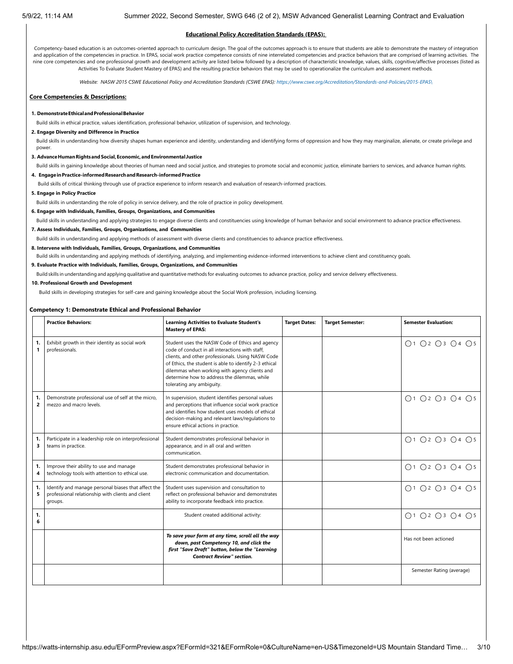#### **Educational Policy Accreditation Standards (EPAS):**

Competency-based education is an outcomes-oriented approach to curriculum design. The goal of the outcomes approach is to ensure that students are able to demonstrate the mastery of integration and application of the competencies in practice. In EPAS, social work practice competence consists of nine interrelated competencies and practice behaviors that are comprised of learning activities. The nine core competencies and one professional growth and development activity are listed below followed by a description of characteristic knowledge, values, skills, cognitive/affective processes (listed as Activities To Evaluate Student Mastery of EPAS) and the resulting practice behaviors that may be used to operationalize the curriculum and assessment methods*.*

*Website: NASW 2015 CSWE Educational Policy and Accreditation Standards (CSWE EPAS): [https://www.cswe.org/Accreditation/Standards-and-Policies/2015-EPAS\](https://www.cswe.org/Accreditation/Standards-and-Policies/2015-EPAS/)*

#### **Core Competencies & Descriptions:**

#### **1. DemonstrateEthicalandProfessionalBehavior**

Build skills in ethical practice, values identification, professional behavior, utilization of supervision, and technology.

#### **2. Engage Diversity and Difference in Practice**

Build skills in understanding how diversity shapes human experience and identity, understanding and identifying forms of oppression and how they may marginalize, alienate, or create privilege and power

#### **3. AdvanceHumanRightsandSocial,Economic,andEnvironmental Justice**

Build skills in gaining knowledge about theories of human need and social justice, and strategies to promote social and economic justice, eliminate barriers to services, and advance human rights.

#### **4. EngageinPractice-informedResearchandResearch-informedPractice**

Build skills of critical thinking through use of practice experience to inform research and evaluation of research-informed practices.

**5. Engage in Policy Practice**

Build skills in understanding the role of policy in service delivery, and the role of practice in policy development.

#### **6. Engage with Individuals, Families, Groups, Organizations, and Communities**

Build skills in understanding and applying strategies to engage diverse clients and constituencies using knowledge of human behavior and social environment to advance practice effectiveness.

#### **7. Assess Individuals, Families, Groups, Organizations, and Communities**

Build skills in understanding and applying methods of assessment with diverse clients and constituencies to advance practice effectiveness.

### **8. Intervene with Individuals, Families, Groups, Organizations, and Communities**

Build skills in understanding and applying methods of identifying, analyzing, and implementing evidence-informed interventions to achieve client and constituency goals.

#### **9. Evaluate Practice with Individuals, Families, Groups, Organizations, and Communities**

Build skills in understanding and applying qualitative and quantitative methods for evaluating outcomes to advance practice, policy and service delivery effectiveness.

#### **10. Professional Growth and Development**

Build skills in developing strategies for self-care and gaining knowledge about the Social Work profession, including licensing.

#### **Competency 1: Demonstrate Ethical and Professional Behavior**

|                      | <b>Practice Behaviors:</b>                                                                                          | <b>Learning Activities to Evaluate Student's</b><br><b>Mastery of EPAS:</b>                                                                                                                                                                                                                                                                     | <b>Target Dates:</b> | <b>Target Semester:</b> | <b>Semester Evaluation:</b> |
|----------------------|---------------------------------------------------------------------------------------------------------------------|-------------------------------------------------------------------------------------------------------------------------------------------------------------------------------------------------------------------------------------------------------------------------------------------------------------------------------------------------|----------------------|-------------------------|-----------------------------|
| 1.<br>1              | Exhibit growth in their identity as social work<br>professionals.                                                   | Student uses the NASW Code of Ethics and agency<br>code of conduct in all interactions with staff.<br>clients, and other professionals. Using NASW Code<br>of Ethics, the student is able to identify 2-3 ethical<br>dilemmas when working with agency clients and<br>determine how to address the dilemmas, while<br>tolerating any ambiguity. |                      |                         | ○1 ○2 ○3 ○4 ○5              |
| 1.<br>$\overline{2}$ | Demonstrate professional use of self at the micro,<br>mezzo and macro levels.                                       | In supervision, student identifies personal values<br>and perceptions that influence social work practice<br>and identifies how student uses models of ethical<br>decision-making and relevant laws/regulations to<br>ensure ethical actions in practice.                                                                                       |                      |                         | ○1 ○2 ○3 ○4 ○5              |
| 1.<br>3              | Participate in a leadership role on interprofessional<br>teams in practice.                                         | Student demonstrates professional behavior in<br>appearance, and in all oral and written<br>communication.                                                                                                                                                                                                                                      |                      |                         | O1 O2 O3 O4 O5              |
| 1.<br>4              | Improve their ability to use and manage<br>technology tools with attention to ethical use.                          | Student demonstrates professional behavior in<br>electronic communication and documentation.                                                                                                                                                                                                                                                    |                      |                         | ○1 ○2 ○3 ○4 ○5              |
| 1.<br>5              | Identify and manage personal biases that affect the<br>professional relationship with clients and client<br>groups. | Student uses supervision and consultation to<br>reflect on professional behavior and demonstrates<br>ability to incorporate feedback into practice.                                                                                                                                                                                             |                      |                         | ○1 ○2 ○3 ○4 ○5              |
| 1.<br>6              |                                                                                                                     | Student created additional activity:                                                                                                                                                                                                                                                                                                            |                      |                         | ○1 ○2 ○3 ○4 ○5              |
|                      |                                                                                                                     | To save your form at any time, scroll all the way<br>down, past Competency 10, and click the<br>first "Save Draft" button, below the "Learning<br><b>Contract Review" section.</b>                                                                                                                                                              |                      |                         | Has not been actioned       |
|                      |                                                                                                                     |                                                                                                                                                                                                                                                                                                                                                 |                      |                         | Semester Rating (average)   |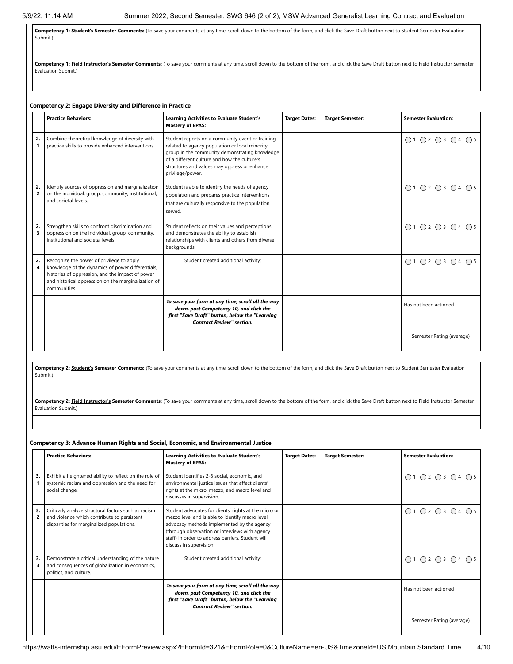Competency 1: **Student's Semester Comments:** (To save your comments at any time, scroll down to the bottom of the form, and click the Save Draft button next to Student Semester Evaluation Submit.)

Competency 1: Field Instructor's Semester Comments: (To save your comments at any time, scroll down to the bottom of the form, and click the Save Draft button next to Field Instructor Semester Evaluation Submit.)

#### **Competency 2: Engage Diversity and Difference in Practice**

|                      | <b>Practice Behaviors:</b>                                                                                                                                                                                                | <b>Learning Activities to Evaluate Student's</b><br><b>Mastery of EPAS:</b>                                                                                                                                                                                              | <b>Target Dates:</b> | <b>Target Semester:</b> | <b>Semester Evaluation:</b> |
|----------------------|---------------------------------------------------------------------------------------------------------------------------------------------------------------------------------------------------------------------------|--------------------------------------------------------------------------------------------------------------------------------------------------------------------------------------------------------------------------------------------------------------------------|----------------------|-------------------------|-----------------------------|
| 2.                   | Combine theoretical knowledge of diversity with<br>practice skills to provide enhanced interventions.                                                                                                                     | Student reports on a community event or training<br>related to agency population or local minority<br>group in the community demonstrating knowledge<br>of a different culture and how the culture's<br>structures and values may oppress or enhance<br>privilege/power. |                      |                         | ○1 ○2 ○3 ○4 ○5              |
| 2.<br>$\overline{2}$ | Identify sources of oppression and marginalization<br>on the individual, group, community, institutional,<br>and societal levels.                                                                                         | Student is able to identify the needs of agency<br>population and prepares practice interventions<br>that are culturally responsive to the population<br>served.                                                                                                         |                      |                         | ○1 ○2 ○3 ○4 ○5              |
| 2.<br>3              | Strengthen skills to confront discrimination and<br>oppression on the individual, group, community,<br>institutional and societal levels.                                                                                 | Student reflects on their values and perceptions<br>and demonstrates the ability to establish<br>relationships with clients and others from diverse<br>backgrounds.                                                                                                      |                      |                         | ○1 ○2 ○3 ○4 ○5              |
| 2.                   | Recognize the power of privilege to apply<br>knowledge of the dynamics of power differentials,<br>histories of oppression, and the impact of power<br>and historical oppression on the marginalization of<br>communities. | Student created additional activity:                                                                                                                                                                                                                                     |                      |                         | ○1 ○2 ○3 ○4 ○5              |
|                      |                                                                                                                                                                                                                           | To save your form at any time, scroll all the way<br>down, past Competency 10, and click the<br>first "Save Draft" button, below the "Learning<br><b>Contract Review" section.</b>                                                                                       |                      |                         | Has not been actioned       |
|                      |                                                                                                                                                                                                                           |                                                                                                                                                                                                                                                                          |                      |                         | Semester Rating (average)   |

Competency 2: **Student's Semester Comments:** (To save your comments at any time, scroll down to the bottom of the form, and click the Save Draft button next to Student Semester Evaluation Submit.)

Competency 2: Field Instructor's Semester Comments: (To save your comments at any time, scroll down to the bottom of the form, and click the Save Draft button next to Field Instructor Semester Evaluation Submit.)

#### **Competency 3: Advance Human Rights and Social, Economic, and Environmental Justice**

|         | <b>Practice Behaviors:</b>                                                                                                                       | <b>Learning Activities to Evaluate Student's</b><br><b>Mastery of EPAS:</b>                                                                                                                                                                                                              | <b>Target Dates:</b> | <b>Target Semester:</b> | <b>Semester Evaluation:</b> |
|---------|--------------------------------------------------------------------------------------------------------------------------------------------------|------------------------------------------------------------------------------------------------------------------------------------------------------------------------------------------------------------------------------------------------------------------------------------------|----------------------|-------------------------|-----------------------------|
| 3.      | Exhibit a heightened ability to reflect on the role of<br>systemic racism and oppression and the need for<br>social change.                      | Student identifies 2-3 social, economic, and<br>environmental justice issues that affect clients'<br>rights at the micro, mezzo, and macro level and<br>discusses in supervision.                                                                                                        |                      |                         | ○1 ○2 ○3 ○4 ○5              |
| 3.<br>2 | Critically analyze structural factors such as racism<br>and violence which contribute to persistent<br>disparities for marginalized populations. | Student advocates for clients' rights at the micro or<br>mezzo level and is able to identify macro level<br>advocacy methods implemented by the agency<br>(through observation or interviews with agency<br>staff) in order to address barriers. Student will<br>discuss in supervision. |                      |                         | ○1 ○2 ○3 ○4 ○5              |
| 3.      | Demonstrate a critical understanding of the nature<br>and consequences of globalization in economics,<br>politics, and culture.                  | Student created additional activity:                                                                                                                                                                                                                                                     |                      |                         | ○1 ○2 ○3 ○4 ○5              |
|         |                                                                                                                                                  | To save your form at any time, scroll all the way<br>down, past Competency 10, and click the<br>first "Save Draft" button, below the "Learning<br><b>Contract Review" section.</b>                                                                                                       |                      |                         | Has not been actioned       |
|         |                                                                                                                                                  |                                                                                                                                                                                                                                                                                          |                      |                         | Semester Rating (average)   |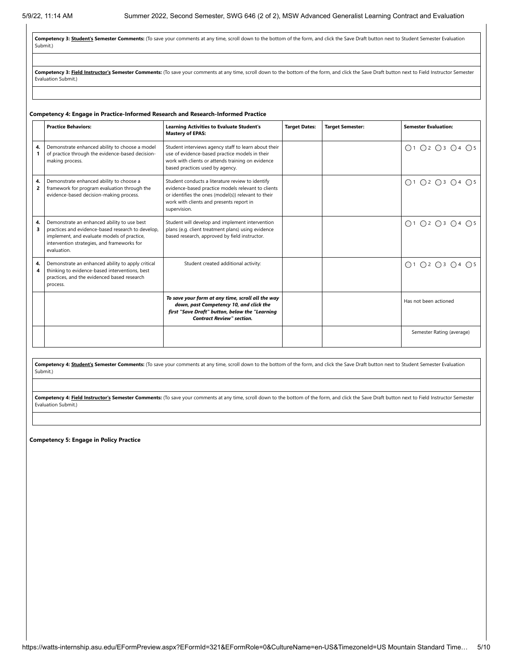**Competency 3: Student's Semester Comments:** (To save your comments at any time, scroll down to the bottom of the form, and click the Save Draft button next to Student Semester Evaluation Submit.)

Competency 3: Field Instructor's Semester Comments: (To save your comments at any time, scroll down to the bottom of the form, and click the Save Draft button next to Field Instructor Semester Evaluation Submit.)

#### **Competency 4: Engage in Practice-Informed Research and Research-Informed Practice**

|         | <b>Practice Behaviors:</b>                                                                                                                                                                                    | <b>Learning Activities to Evaluate Student's</b><br><b>Mastery of EPAS:</b>                                                                                                                                               | <b>Target Dates:</b> | <b>Target Semester:</b> | <b>Semester Evaluation:</b> |
|---------|---------------------------------------------------------------------------------------------------------------------------------------------------------------------------------------------------------------|---------------------------------------------------------------------------------------------------------------------------------------------------------------------------------------------------------------------------|----------------------|-------------------------|-----------------------------|
| 4.      | Demonstrate enhanced ability to choose a model<br>of practice through the evidence-based decision-<br>making process.                                                                                         | Student interviews agency staff to learn about their<br>use of evidence-based practice models in their<br>work with clients or attends training on evidence<br>based practices used by agency.                            |                      |                         | ○1 ○2 ○3 ○4 ○5              |
| 4.<br>2 | Demonstrate enhanced ability to choose a<br>framework for program evaluation through the<br>evidence-based decision-making process.                                                                           | Student conducts a literature review to identify<br>evidence-based practice models relevant to clients<br>or identifies the ones (model(s)) relevant to their<br>work with clients and presents report in<br>supervision. |                      |                         | ○1 ○2 ○3 ○4 ○5              |
| 4.<br>3 | Demonstrate an enhanced ability to use best<br>practices and evidence-based research to develop,<br>implement, and evaluate models of practice,<br>intervention strategies, and frameworks for<br>evaluation. | Student will develop and implement intervention<br>plans (e.g. client treatment plans) using evidence<br>based research, approved by field instructor.                                                                    |                      |                         | ○1 ○2 ○3 ○4 ○5              |
| 4.<br>4 | Demonstrate an enhanced ability to apply critical<br>thinking to evidence-based interventions, best<br>practices, and the evidenced based research<br>process.                                                | Student created additional activity:                                                                                                                                                                                      |                      |                         | O1 O2 O3 O4 O5              |
|         |                                                                                                                                                                                                               | To save your form at any time, scroll all the way<br>down, past Competency 10, and click the<br>first "Save Draft" button, below the "Learning<br><b>Contract Review" section.</b>                                        |                      |                         | Has not been actioned       |
|         |                                                                                                                                                                                                               |                                                                                                                                                                                                                           |                      |                         | Semester Rating (average)   |

**Competency 4: Student's Semester Comments:** (To save your comments at any time, scroll down to the bottom of the form, and click the Save Draft button next to Student Semester Evaluation Submit.)

Competency 4: Field Instructor's Semester Comments: (To save your comments at any time, scroll down to the bottom of the form, and click the Save Draft button next to Field Instructor Semester Evaluation Submit.)

**Competency 5: Engage in Policy Practice**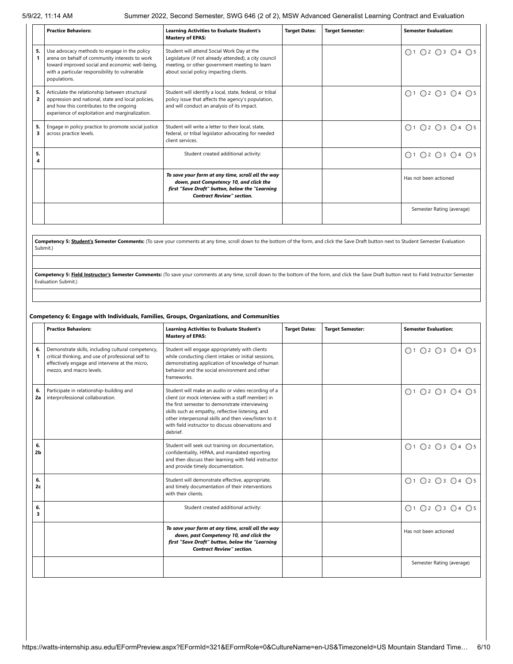5/9/22, 11:14 AM Summer 2022, Second Semester, SWG 646 (2 of 2), MSW Advanced Generalist Learning Contract and Evaluation

|         | <b>Practice Behaviors:</b>                                                                                                                                                                                          | <b>Learning Activities to Evaluate Student's</b><br><b>Mastery of EPAS:</b>                                                                                                                    | <b>Target Dates:</b> | <b>Target Semester:</b> | <b>Semester Evaluation:</b> |
|---------|---------------------------------------------------------------------------------------------------------------------------------------------------------------------------------------------------------------------|------------------------------------------------------------------------------------------------------------------------------------------------------------------------------------------------|----------------------|-------------------------|-----------------------------|
| 5.      | Use advocacy methods to engage in the policy<br>arena on behalf of community interests to work<br>toward improved social and economic well-being,<br>with a particular responsibility to vulnerable<br>populations. | Student will attend Social Work Day at the<br>Legislature (if not already attended), a city council<br>meeting, or other government meeting to learn<br>about social policy impacting clients. |                      |                         | ○1 ○2 ○3 ○4 ○5              |
| 5.<br>2 | Articulate the relationship between structural<br>oppression and national, state and local policies,<br>and how this contributes to the ongoing<br>experience of exploitation and marginalization.                  | Student will identify a local, state, federal, or tribal<br>policy issue that affects the agency's population,<br>and will conduct an analysis of its impact.                                  |                      |                         | ○1 ○2 ○3 ○4 ○5              |
| 5.<br>3 | Engage in policy practice to promote social justice<br>across practice levels.                                                                                                                                      | Student will write a letter to their local, state,<br>federal, or tribal legislator advocating for needed<br>client services.                                                                  |                      |                         | ○1 ○2 ○3 ○4 ○5              |
| 5.<br>Δ |                                                                                                                                                                                                                     | Student created additional activity:                                                                                                                                                           |                      |                         | Q1 Q2 Q3 Q4 Q5              |
|         |                                                                                                                                                                                                                     | To save your form at any time, scroll all the way<br>down, past Competency 10, and click the<br>first "Save Draft" button, below the "Learning<br><b>Contract Review" section.</b>             |                      |                         | Has not been actioned       |
|         |                                                                                                                                                                                                                     |                                                                                                                                                                                                |                      |                         | Semester Rating (average)   |

Competency 5: **Student's Semester Comments:** (To save your comments at any time, scroll down to the bottom of the form, and click the Save Draft button next to Student Semester Evaluation Submit.)

Competency 5: Field Instructor's Semester Comments: (To save your comments at any time, scroll down to the bottom of the form, and click the Save Draft button next to Field Instructor Semester Evaluation Submit.)

#### **Competency 6: Engage with Individuals, Families, Groups, Organizations, and Communities**

|          | <b>Practice Behaviors:</b>                                                                                                                                                             | <b>Learning Activities to Evaluate Student's</b><br><b>Mastery of EPAS:</b>                                                                                                                                                                                                                                                              | <b>Target Dates:</b> | <b>Target Semester:</b> | <b>Semester Evaluation:</b> |
|----------|----------------------------------------------------------------------------------------------------------------------------------------------------------------------------------------|------------------------------------------------------------------------------------------------------------------------------------------------------------------------------------------------------------------------------------------------------------------------------------------------------------------------------------------|----------------------|-------------------------|-----------------------------|
| 6.<br>1  | Demonstrate skills, including cultural competency,<br>critical thinking, and use of professional self to<br>effectively engage and intervene at the micro,<br>mezzo, and macro levels. | Student will engage appropriately with clients<br>while conducting client intakes or initial sessions,<br>demonstrating application of knowledge of human<br>behavior and the social environment and other<br>frameworks.                                                                                                                |                      |                         | ○1 ○2 ○3 ○4 ○5              |
| 6.<br>2a | Participate in relationship-building and<br>interprofessional collaboration.                                                                                                           | Student will make an audio or video recording of a<br>client (or mock interview with a staff member) in<br>the first semester to demonstrate interviewing<br>skills such as empathy, reflective listening, and<br>other interpersonal skills and then view/listen to it<br>with field instructor to discuss observations and<br>debrief. |                      |                         | ○1 ○2 ○3 ○4 ○5              |
| 6.<br>2b |                                                                                                                                                                                        | Student will seek out training on documentation,<br>confidentiality, HIPAA, and mandated reporting<br>and then discuss their learning with field instructor<br>and provide timely documentation.                                                                                                                                         |                      |                         | ○1 ○2 ○3 ○4 ○5              |
| 6.<br>2c |                                                                                                                                                                                        | Student will demonstrate effective, appropriate,<br>and timely documentation of their interventions<br>with their clients.                                                                                                                                                                                                               |                      |                         | ○1 ○2 ○3 ○4 ○5              |
| 6.<br>3  |                                                                                                                                                                                        | Student created additional activity:                                                                                                                                                                                                                                                                                                     |                      |                         | ○1 ○2 ○3 ○4 ○5              |
|          |                                                                                                                                                                                        | To save your form at any time, scroll all the way<br>down, past Competency 10, and click the<br>first "Save Draft" button, below the "Learning<br><b>Contract Review" section.</b>                                                                                                                                                       |                      |                         | Has not been actioned       |
|          |                                                                                                                                                                                        |                                                                                                                                                                                                                                                                                                                                          |                      |                         | Semester Rating (average)   |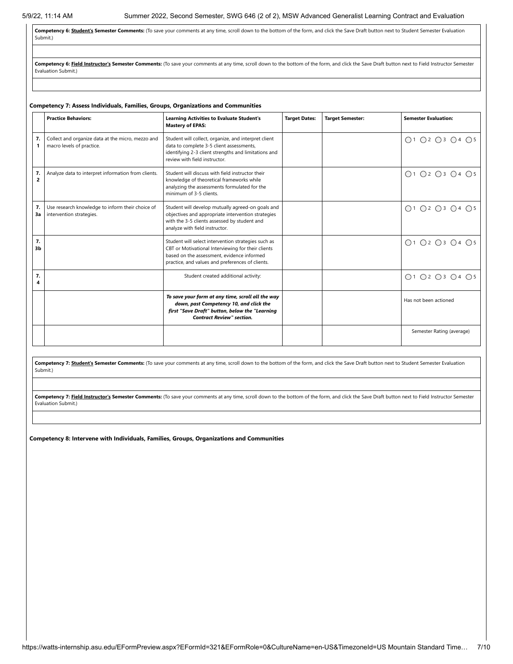Competency 6: Student's Semester Comments: (To save your comments at any time, scroll down to the bottom of the form, and click the Save Draft button next to Student Semester Evaluation Submit.)

Competency 6: Field Instructor's Semester Comments: (To save your comments at any time, scroll down to the bottom of the form, and click the Save Draft button next to Field Instructor Semester Evaluation Submit.)

## **Competency 7: Assess Individuals, Families, Groups, Organizations and Communities**

|                      | <b>Practice Behaviors:</b>                                                     | <b>Learning Activities to Evaluate Student's</b><br><b>Mastery of EPAS:</b>                                                                                                                                 | <b>Target Dates:</b> | <b>Target Semester:</b> | <b>Semester Evaluation:</b> |
|----------------------|--------------------------------------------------------------------------------|-------------------------------------------------------------------------------------------------------------------------------------------------------------------------------------------------------------|----------------------|-------------------------|-----------------------------|
| 7.                   | Collect and organize data at the micro, mezzo and<br>macro levels of practice. | Student will collect, organize, and interpret client<br>data to complete 3-5 client assessments,<br>identifying 2-3 client strengths and limitations and<br>review with field instructor.                   |                      |                         | ○1 ○2 ○3 ○4 ○5              |
| 7.<br>$\overline{2}$ | Analyze data to interpret information from clients.                            | Student will discuss with field instructor their<br>knowledge of theoretical frameworks while<br>analyzing the assessments formulated for the<br>minimum of 3-5 clients.                                    |                      |                         | ○1 ○2 ○3 ○4 ○5              |
| 7.<br>Зa             | Use research knowledge to inform their choice of<br>intervention strategies.   | Student will develop mutually agreed-on goals and<br>objectives and appropriate intervention strategies<br>with the 3-5 clients assessed by student and<br>analyze with field instructor.                   |                      |                         | ○1 ○2 ○3 ○4 ○5              |
| 7.<br>3 <sub>b</sub> |                                                                                | Student will select intervention strategies such as<br>CBT or Motivational Interviewing for their clients<br>based on the assessment, evidence informed<br>practice, and values and preferences of clients. |                      |                         | ○1 ○2 ○3 ○4 ○5              |
| 7.<br>4              |                                                                                | Student created additional activity:                                                                                                                                                                        |                      |                         | ○1 ○2 ○3 ○4 ○5              |
|                      |                                                                                | To save your form at any time, scroll all the way<br>down, past Competency 10, and click the<br>first "Save Draft" button, below the "Learning<br><b>Contract Review" section.</b>                          |                      |                         | Has not been actioned       |
|                      |                                                                                |                                                                                                                                                                                                             |                      |                         | Semester Rating (average)   |

Competency 7: Student's Semester Comments: (To save your comments at any time, scroll down to the bottom of the form, and click the Save Draft button next to Student Semester Evaluation Submit.)

Competency 7: Field Instructor's Semester Comments: (To save your comments at any time, scroll down to the bottom of the form, and click the Save Draft button next to Field Instructor Semester Evaluation Submit.)

**Competency 8: Intervene with Individuals, Families, Groups, Organizations and Communities**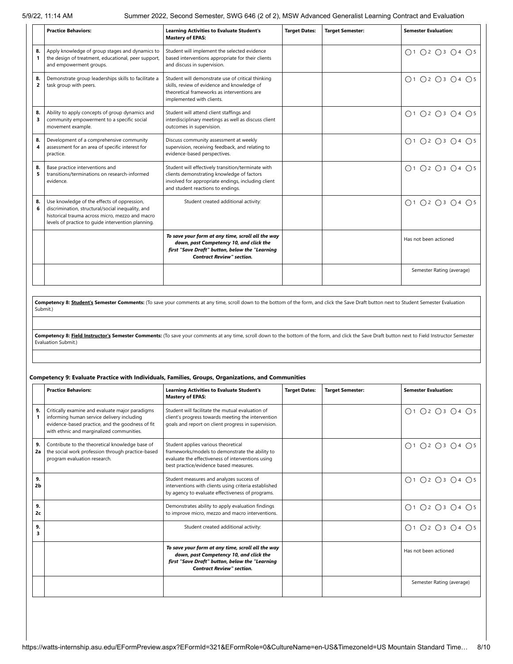5/9/22, 11:14 AM Summer 2022, Second Semester, SWG 646 (2 of 2), MSW Advanced Generalist Learning Contract and Evaluation

|                      | <b>Practice Behaviors:</b>                                                                                                                                                                                | <b>Learning Activities to Evaluate Student's</b><br><b>Mastery of EPAS:</b>                                                                                                                 | <b>Target Dates:</b> | <b>Target Semester:</b> | <b>Semester Evaluation:</b>                                 |
|----------------------|-----------------------------------------------------------------------------------------------------------------------------------------------------------------------------------------------------------|---------------------------------------------------------------------------------------------------------------------------------------------------------------------------------------------|----------------------|-------------------------|-------------------------------------------------------------|
| 8.<br>$\mathbf{1}$   | Apply knowledge of group stages and dynamics to<br>the design of treatment, educational, peer support,<br>and empowerment groups.                                                                         | Student will implement the selected evidence<br>based interventions appropriate for their clients<br>and discuss in supervision.                                                            |                      |                         | ○1 ○2 ○3 ○4 ○5                                              |
| 8.<br>$\overline{2}$ | Demonstrate group leaderships skills to facilitate a<br>task group with peers.                                                                                                                            | Student will demonstrate use of critical thinking<br>skills, review of evidence and knowledge of<br>theoretical frameworks as interventions are<br>implemented with clients.                |                      |                         | ○1 ○2 ○3 ○4 ○5                                              |
| 8.<br>3              | Ability to apply concepts of group dynamics and<br>community empowerment to a specific social<br>movement example.                                                                                        | Student will attend client staffings and<br>interdisciplinary meetings as well as discuss client<br>outcomes in supervision.                                                                |                      |                         | $\bigcap$ 1 $\bigcap$ 2 $\bigcap$ 3 $\bigcap$ 4 $\bigcap$ 5 |
| 8.<br>4              | Development of a comprehensive community<br>assessment for an area of specific interest for<br>practice.                                                                                                  | Discuss community assessment at weekly<br>supervision, receiving feedback, and relating to<br>evidence-based perspectives.                                                                  |                      |                         | $\bigcap$ 1 $\bigcap$ 2 $\bigcap$ 3 $\bigcap$ 4 $\bigcap$ 5 |
| 8.<br>5              | Base practice interventions and<br>transitions/terminations on research-informed<br>evidence.                                                                                                             | Student will effectively transition/terminate with<br>clients demonstrating knowledge of factors<br>involved for appropriate endings, including client<br>and student reactions to endings. |                      |                         | $\bigcap$ 1 $\bigcap$ 2 $\bigcap$ 3 $\bigcap$ 4 $\bigcap$ 5 |
| 8.<br>6              | Use knowledge of the effects of oppression,<br>discrimination, structural/social inequality, and<br>historical trauma across micro, mezzo and macro<br>levels of practice to quide intervention planning. | Student created additional activity:                                                                                                                                                        |                      |                         | ○1 ○2 ○3 ○4 ○5                                              |
|                      |                                                                                                                                                                                                           | To save your form at any time, scroll all the way<br>down, past Competency 10, and click the<br>first "Save Draft" button, below the "Learning<br><b>Contract Review" section.</b>          |                      |                         | Has not been actioned                                       |
|                      |                                                                                                                                                                                                           |                                                                                                                                                                                             |                      |                         | Semester Rating (average)                                   |

**Competency 8: Student's Semester Comments:** (To save your comments at any time, scroll down to the bottom of the form, and click the Save Draft button next to Student Semester Evaluation Submit.)

Competency 8: Field Instructor's Semester Comments: (To save your comments at any time, scroll down to the bottom of the form, and click the Save Draft button next to Field Instructor Semester Evaluation Submit.)

#### **Competency 9: Evaluate Practice with Individuals, Families, Groups, Organizations, and Communities**

|          | <b>Practice Behaviors:</b>                                                                                                                                                                     | <b>Learning Activities to Evaluate Student's</b><br><b>Mastery of EPAS:</b>                                                                                                           | <b>Target Dates:</b> | <b>Target Semester:</b> | <b>Semester Evaluation:</b>                                 |
|----------|------------------------------------------------------------------------------------------------------------------------------------------------------------------------------------------------|---------------------------------------------------------------------------------------------------------------------------------------------------------------------------------------|----------------------|-------------------------|-------------------------------------------------------------|
| 9.       | Critically examine and evaluate major paradigms<br>informing human service delivery including<br>evidence-based practice, and the goodness of fit<br>with ethnic and marginalized communities. | Student will facilitate the mutual evaluation of<br>client's progress towards meeting the intervention<br>goals and report on client progress in supervision.                         |                      |                         | ○1 ○2 ○3 ○4 ○5                                              |
| 9.<br>2a | Contribute to the theoretical knowledge base of<br>the social work profession through practice-based<br>program evaluation research.                                                           | Student applies various theoretical<br>frameworks/models to demonstrate the ability to<br>evaluate the effectiveness of interventions using<br>best practice/evidence based measures. |                      |                         | ○1 ○2 ○3 ○4 ○5                                              |
| 9.<br>2b |                                                                                                                                                                                                | Student measures and analyzes success of<br>interventions with clients using criteria established<br>by agency to evaluate effectiveness of programs.                                 |                      |                         | ○1 ○2 ○3 ○4 ○5                                              |
| 9.<br>2c |                                                                                                                                                                                                | Demonstrates ability to apply evaluation findings<br>to improve micro, mezzo and macro interventions.                                                                                 |                      |                         | ○1 ○2 ○3 ○4 ○5                                              |
| 9.<br>3  |                                                                                                                                                                                                | Student created additional activity:                                                                                                                                                  |                      |                         | $\bigcap$ 1 $\bigcap$ 2 $\bigcap$ 3 $\bigcap$ 4 $\bigcap$ 5 |
|          |                                                                                                                                                                                                | To save your form at any time, scroll all the way<br>down, past Competency 10, and click the<br>first "Save Draft" button, below the "Learning<br><b>Contract Review" section.</b>    |                      |                         | Has not been actioned                                       |
|          |                                                                                                                                                                                                |                                                                                                                                                                                       |                      |                         | Semester Rating (average)                                   |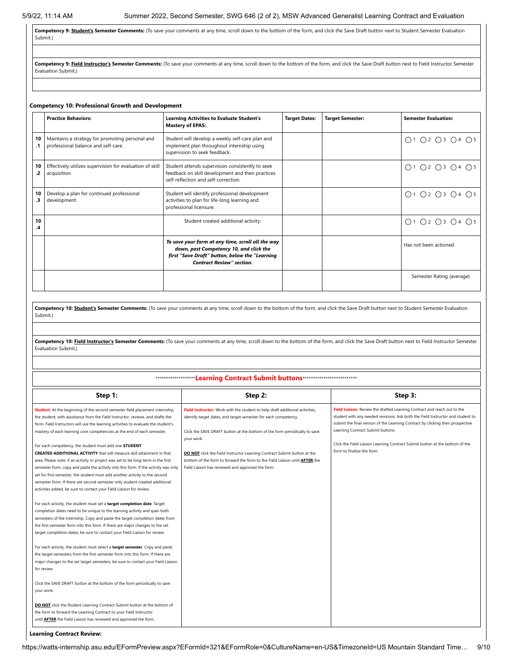**Competency 9: Student's Semester Comments:** (To save your comments at any time, scroll down to the bottom of the form, and click the Save Draft button next to Student Semester Evaluation Submit.)

Competency 9: Field Instructor's Semester Comments: (To save your comments at any time, scroll down to the bottom of the form, and click the Save Draft button next to Field Instructor Semester Evaluation Submit.)

#### **Competency 10: Professional Growth and Development**

|          | <b>Practice Behaviors:</b>                                                             | <b>Learning Activities to Evaluate Student's</b><br><b>Mastery of EPAS:</b>                                                                                                        | <b>Target Dates:</b> | <b>Target Semester:</b> | <b>Semester Evaluation:</b> |
|----------|----------------------------------------------------------------------------------------|------------------------------------------------------------------------------------------------------------------------------------------------------------------------------------|----------------------|-------------------------|-----------------------------|
| 10       | Maintains a strategy for promoting personal and<br>professional balance and self-care. | Student will develop a weekly self-care plan and<br>implement plan throughout internship using<br>supervision to seek feedback.                                                    |                      |                         | ○1 ○2 ○3 ○4 ○5              |
| 10       | Effectively utilizes supervision for evaluation of skill<br>acquisition.               | Student attends supervision consistently to seek<br>feedback on skill development and then practices<br>self-reflection and self-correction.                                       |                      |                         | ○1 ○2 ○3 ○4 ○5              |
| 10<br>.3 | Develop a plan for continued professional<br>development.                              | Student will identify professional development<br>activities to plan for life-long learning and<br>professional licensure.                                                         |                      |                         | ○1 ○2 ○3 ○4 ○5              |
| 10<br>.4 |                                                                                        | Student created additional activity:                                                                                                                                               |                      |                         | O1 O2 O3 O4 O5              |
|          |                                                                                        | To save your form at any time, scroll all the way<br>down, past Competency 10, and click the<br>first "Save Draft" button, below the "Learning<br><b>Contract Review" section.</b> |                      |                         | Has not been actioned       |
|          |                                                                                        |                                                                                                                                                                                    |                      |                         | Semester Rating (average)   |

Competency 10: Student's Semester Comments: (To save your comments at any time, scroll down to the bottom of the form, and click the Save Draft button next to Student Semester Evaluation Submit.)

Competency 10: Field Instructor's Semester Comments: (To save your comments at any time, scroll down to the bottom of the form, and click the Save Draft button next to Field Instructor Semester Evaluation Submit.)

#### \*\*\*\*\*\*\*\*\*\*\*\*\*\*\*\*\*\*\***Learning Contract Submit buttons**\*\*\*\*\*\*\*\*\*\*\*\*\*\*\*\*\*\*\*\*\*\*\*\*\*\*

| Step 1:                                                                                                                                                                                                                                                                                                                                                                                                                                                                                                                                                 | Step 2:                                                                                                                                                                                                                                     | Step 3:                                                                                                                                                                                                                                                                             |
|---------------------------------------------------------------------------------------------------------------------------------------------------------------------------------------------------------------------------------------------------------------------------------------------------------------------------------------------------------------------------------------------------------------------------------------------------------------------------------------------------------------------------------------------------------|---------------------------------------------------------------------------------------------------------------------------------------------------------------------------------------------------------------------------------------------|-------------------------------------------------------------------------------------------------------------------------------------------------------------------------------------------------------------------------------------------------------------------------------------|
| Student: At the beginning of the second semester field placement internship,<br>the student, with assistance from the Field Instructor, reviews, and drafts the<br>form. Field Instructors will use the learning activities to evaluate the student's<br>mastery of each learning core competencies at the end of each semester.                                                                                                                                                                                                                        | Field Instructor: Work with the student to help draft additional activities,<br>identify target dates, and target semester for each competency.<br>Click the SAVE DRAFT button at the bottom of the form periodically to save<br>your work. | Field Liaison: Review the drafted Learning Contract and reach out to the<br>student with any needed revisions. Ask both the Field Instructor and student to<br>submit the final version of the Learning Contract by clicking their prospective<br>Learning Contract Submit buttons. |
| For each competency, the student must add one STUDENT<br><b>CREATED ADDITIONAL ACTIVITY</b> that will measure skill attainment in that<br>area. Please note: if an activity or project was set to be long-term in the first<br>semester form, copy and paste the activity into this form. If the activity was only<br>set for first semester, the student must add another activity to the second<br>semester form. If there are second semester only student created additional<br>activities added, be sure to contact your Field Liaison for review. | DO NOT click the Field Instructor Learning Contract Submit button at the<br>bottom of the form to forward the form to the Field Liaison until AFTER the<br>Field Liaison has reviewed and approved the form.                                | Click the Field Liaison Learning Contract Submit button at the bottom of the<br>form to finalize the form.                                                                                                                                                                          |
| For each activity, the student must set a target completion date. Target<br>completion dates need to be unique to the learning activity and span both<br>semesters of the internship. Copy and paste the target completion dates from<br>the first semester form into this form. If there are major changes to the set<br>target completion dates, be sure to contact your Field Liaison for review.                                                                                                                                                    |                                                                                                                                                                                                                                             |                                                                                                                                                                                                                                                                                     |
| For each activity, the student must select a target semester. Copy and paste<br>the target semesters from the first semester form into this form. If there are<br>major changes to the set target semesters, be sure to contact your Field Liaison<br>for review.                                                                                                                                                                                                                                                                                       |                                                                                                                                                                                                                                             |                                                                                                                                                                                                                                                                                     |
| Click the SAVE DRAFT button at the bottom of the form periodically to save<br>your work.<br>DO NOT click the Student Learning Contract Submit button at the bottom of<br>the form to forward the Learning Contract to your Field Instructor<br>until <b>AFTER</b> the Field Liaison has reviewed and approved the form.                                                                                                                                                                                                                                 |                                                                                                                                                                                                                                             |                                                                                                                                                                                                                                                                                     |

**Learning Contract Review:**